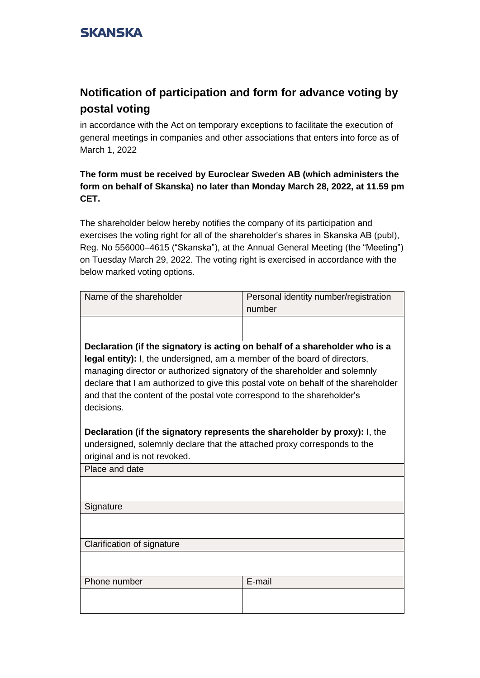## **Notification of participation and form for advance voting by postal voting**

in accordance with the Act on temporary exceptions to facilitate the execution of general meetings in companies and other associations that enters into force as of March 1, 2022

#### **The form must be received by Euroclear Sweden AB (which administers the form on behalf of Skanska) no later than Monday March 28, 2022, at 11.59 pm CET.**

The shareholder below hereby notifies the company of its participation and exercises the voting right for all of the shareholder's shares in Skanska AB (publ), Reg. No 556000–4615 ("Skanska"), at the Annual General Meeting (the "Meeting") on Tuesday March 29, 2022. The voting right is exercised in accordance with the below marked voting options.

| Name of the shareholder                                                            | Personal identity number/registration |  |  |  |  |
|------------------------------------------------------------------------------------|---------------------------------------|--|--|--|--|
|                                                                                    | number                                |  |  |  |  |
|                                                                                    |                                       |  |  |  |  |
|                                                                                    |                                       |  |  |  |  |
| Declaration (if the signatory is acting on behalf of a shareholder who is a        |                                       |  |  |  |  |
| legal entity): I, the undersigned, am a member of the board of directors,          |                                       |  |  |  |  |
| managing director or authorized signatory of the shareholder and solemnly          |                                       |  |  |  |  |
| declare that I am authorized to give this postal vote on behalf of the shareholder |                                       |  |  |  |  |
| and that the content of the postal vote correspond to the shareholder's            |                                       |  |  |  |  |
| decisions.                                                                         |                                       |  |  |  |  |
|                                                                                    |                                       |  |  |  |  |
| <b>Declaration (if the signatory represents the shareholder by proxy):</b> I, the  |                                       |  |  |  |  |
| undersigned, solemnly declare that the attached proxy corresponds to the           |                                       |  |  |  |  |
| original and is not revoked.                                                       |                                       |  |  |  |  |
| Place and date                                                                     |                                       |  |  |  |  |
|                                                                                    |                                       |  |  |  |  |
|                                                                                    |                                       |  |  |  |  |
| Signature                                                                          |                                       |  |  |  |  |
|                                                                                    |                                       |  |  |  |  |
|                                                                                    |                                       |  |  |  |  |
| Clarification of signature                                                         |                                       |  |  |  |  |
|                                                                                    |                                       |  |  |  |  |
| Phone number                                                                       | E-mail                                |  |  |  |  |
|                                                                                    |                                       |  |  |  |  |
|                                                                                    |                                       |  |  |  |  |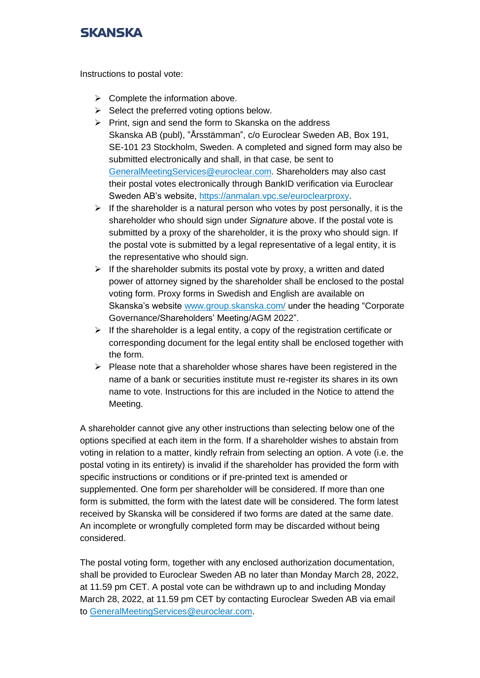Instructions to postal vote:

- $\triangleright$  Complete the information above.
- $\triangleright$  Select the preferred voting options below.
- ➢ Print, sign and send the form to Skanska on the address Skanska AB (publ), "Årsstämman", c/o Euroclear Sweden AB, Box 191, SE-101 23 Stockholm, Sweden. A completed and signed form may also be submitted electronically and shall, in that case, be sent to [GeneralMeetingServices@euroclear.com.](mailto:GeneralMeetingServices@euroclear.eu) Shareholders may also cast their postal votes electronically through BankID verification via Euroclear Sweden AB's website, [https://anmalan.vpc.se/euroclearproxy.](https://anmalan.vpc.se/euroclearproxy)
- $\triangleright$  If the shareholder is a natural person who votes by post personally, it is the shareholder who should sign under *Signature* above. If the postal vote is submitted by a proxy of the shareholder, it is the proxy who should sign. If the postal vote is submitted by a legal representative of a legal entity, it is the representative who should sign.
- $\triangleright$  If the shareholder submits its postal vote by proxy, a written and dated power of attorney signed by the shareholder shall be enclosed to the postal voting form. Proxy forms in Swedish and English are available on Skanska's website [www.group.skanska.com/](http://www.group.skanska.com/) under the heading "Corporate Governance/Shareholders' Meeting/AGM 2022".
- $\triangleright$  If the shareholder is a legal entity, a copy of the registration certificate or corresponding document for the legal entity shall be enclosed together with the form.
- $\triangleright$  Please note that a shareholder whose shares have been registered in the name of a bank or securities institute must re-register its shares in its own name to vote. Instructions for this are included in the Notice to attend the Meeting.

A shareholder cannot give any other instructions than selecting below one of the options specified at each item in the form. If a shareholder wishes to abstain from voting in relation to a matter, kindly refrain from selecting an option. A vote (i.e. the postal voting in its entirety) is invalid if the shareholder has provided the form with specific instructions or conditions or if pre-printed text is amended or supplemented. One form per shareholder will be considered. If more than one form is submitted, the form with the latest date will be considered. The form latest received by Skanska will be considered if two forms are dated at the same date. An incomplete or wrongfully completed form may be discarded without being considered.

The postal voting form, together with any enclosed authorization documentation, shall be provided to Euroclear Sweden AB no later than Monday March 28, 2022, at 11.59 pm CET. A postal vote can be withdrawn up to and including Monday March 28, 2022, at 11.59 pm CET by contacting Euroclear Sweden AB via email to [GeneralMeetingServices@euroclear.com.](mailto:GeneralMeetingServices@euroclear.eu)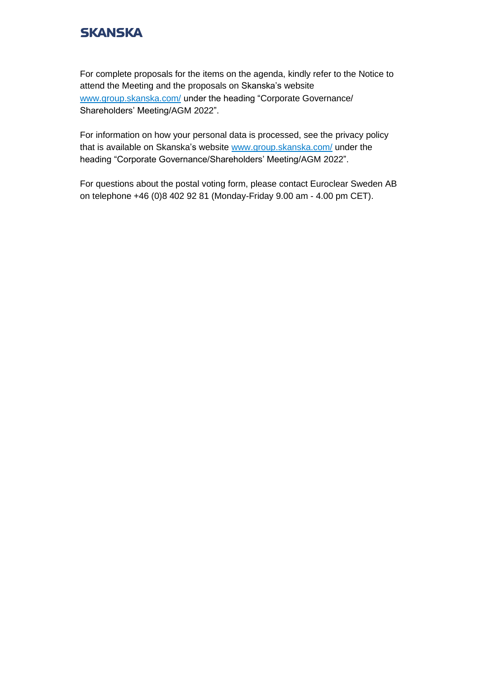For complete proposals for the items on the agenda, kindly refer to the Notice to attend the Meeting and the proposals on Skanska's website [www.group.skanska.com/](https://group.skanska.com/) under the heading "Corporate Governance/ Shareholders' Meeting/AGM 2022".

For information on how your personal data is processed, see the privacy policy that is available on Skanska's website [www.group.skanska.com/](https://group.skanska.com/) under the heading "Corporate Governance/Shareholders' Meeting/AGM 2022".

For questions about the postal voting form, please contact Euroclear Sweden AB on telephone +46 (0)8 402 92 81 (Monday-Friday 9.00 am - 4.00 pm CET).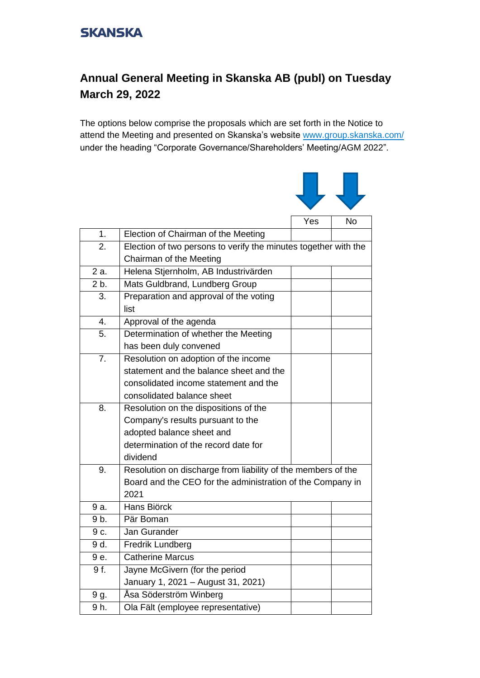## **Annual General Meeting in Skanska AB (publ) on Tuesday March 29, 2022**

The options below comprise the proposals which are set forth in the Notice to attend the Meeting and presented on Skanska's website [www.group.skanska.com/](http://www.group.skanska.com/) under the heading "Corporate Governance/Shareholders' Meeting/AGM 2022".



| 1.               | Election of Chairman of the Meeting                                                        |  |  |
|------------------|--------------------------------------------------------------------------------------------|--|--|
| 2.               | Election of two persons to verify the minutes together with the<br>Chairman of the Meeting |  |  |
|                  |                                                                                            |  |  |
| 2 a.             | Helena Stjernholm, AB Industrivärden                                                       |  |  |
| 2 b.             | Mats Guldbrand, Lundberg Group                                                             |  |  |
| 3.               | Preparation and approval of the voting                                                     |  |  |
|                  | list                                                                                       |  |  |
| $\overline{4}$ . | Approval of the agenda                                                                     |  |  |
| 5.               | Determination of whether the Meeting                                                       |  |  |
|                  | has been duly convened                                                                     |  |  |
| $\overline{7}$ . | Resolution on adoption of the income                                                       |  |  |
|                  | statement and the balance sheet and the                                                    |  |  |
|                  | consolidated income statement and the                                                      |  |  |
|                  | consolidated balance sheet                                                                 |  |  |
| 8.               | Resolution on the dispositions of the                                                      |  |  |
|                  | Company's results pursuant to the                                                          |  |  |
|                  | adopted balance sheet and                                                                  |  |  |
|                  | determination of the record date for                                                       |  |  |
|                  | dividend                                                                                   |  |  |
| 9.               | Resolution on discharge from liability of the members of the                               |  |  |
|                  | Board and the CEO for the administration of the Company in                                 |  |  |
|                  | 2021                                                                                       |  |  |
| 9 a.             | Hans Biörck                                                                                |  |  |
| 9b.              | Pär Boman                                                                                  |  |  |
| 9 c.             | Jan Gurander                                                                               |  |  |
| 9 d.             | Fredrik Lundberg                                                                           |  |  |
| 9 e.             | <b>Catherine Marcus</b>                                                                    |  |  |
| 9 f.             | Jayne McGivern (for the period                                                             |  |  |
|                  | January 1, 2021 - August 31, 2021)                                                         |  |  |
| 9 g.             | Åsa Söderström Winberg                                                                     |  |  |
| 9h.              | Ola Fält (employee representative)                                                         |  |  |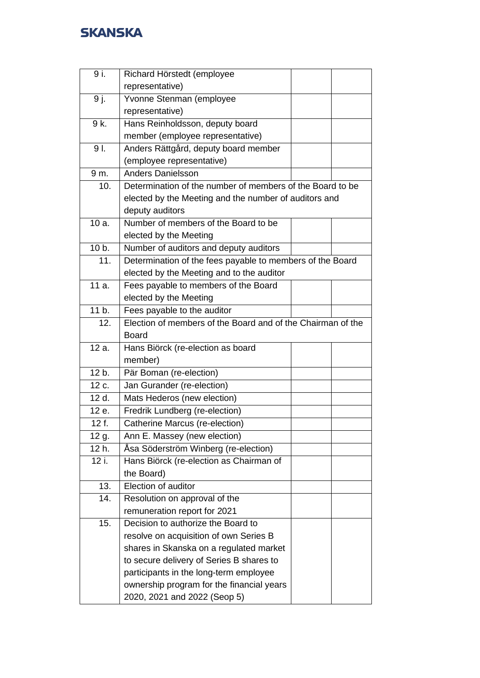| 9 i.  | Richard Hörstedt (employee                                  |  |  |
|-------|-------------------------------------------------------------|--|--|
|       | representative)                                             |  |  |
| 9 j.  | Yvonne Stenman (employee                                    |  |  |
|       | representative)                                             |  |  |
| 9 k.  | Hans Reinholdsson, deputy board                             |  |  |
|       | member (employee representative)                            |  |  |
| 9I.   | Anders Rättgård, deputy board member                        |  |  |
|       | (employee representative)                                   |  |  |
| 9 m.  | <b>Anders Danielsson</b>                                    |  |  |
| 10.   | Determination of the number of members of the Board to be   |  |  |
|       | elected by the Meeting and the number of auditors and       |  |  |
|       | deputy auditors                                             |  |  |
| 10 a. | Number of members of the Board to be                        |  |  |
|       | elected by the Meeting                                      |  |  |
| 10 b. | Number of auditors and deputy auditors                      |  |  |
| 11.   | Determination of the fees payable to members of the Board   |  |  |
|       | elected by the Meeting and to the auditor                   |  |  |
| 11 a. | Fees payable to members of the Board                        |  |  |
|       | elected by the Meeting                                      |  |  |
| 11 b. | Fees payable to the auditor                                 |  |  |
| 12.   | Election of members of the Board and of the Chairman of the |  |  |
|       | <b>Board</b>                                                |  |  |
| 12 a. | Hans Biörck (re-election as board                           |  |  |
|       | member)                                                     |  |  |
| 12 b. | Pär Boman (re-election)                                     |  |  |
| 12 c. | Jan Gurander (re-election)                                  |  |  |
| 12 d. | Mats Hederos (new election)                                 |  |  |
| 12 e. | Fredrik Lundberg (re-election)                              |  |  |
| 12 f. | Catherine Marcus (re-election)                              |  |  |
| 12 g. | Ann E. Massey (new election)                                |  |  |
| 12 h. | Åsa Söderström Winberg (re-election)                        |  |  |
| 12 i. | Hans Biörck (re-election as Chairman of                     |  |  |
|       | the Board)                                                  |  |  |
| 13.   | Election of auditor                                         |  |  |
| 14.   | Resolution on approval of the                               |  |  |
|       | remuneration report for 2021                                |  |  |
| 15.   | Decision to authorize the Board to                          |  |  |
|       | resolve on acquisition of own Series B                      |  |  |
|       | shares in Skanska on a regulated market                     |  |  |
|       | to secure delivery of Series B shares to                    |  |  |
|       | participants in the long-term employee                      |  |  |
|       | ownership program for the financial years                   |  |  |
|       | 2020, 2021 and 2022 (Seop 5)                                |  |  |